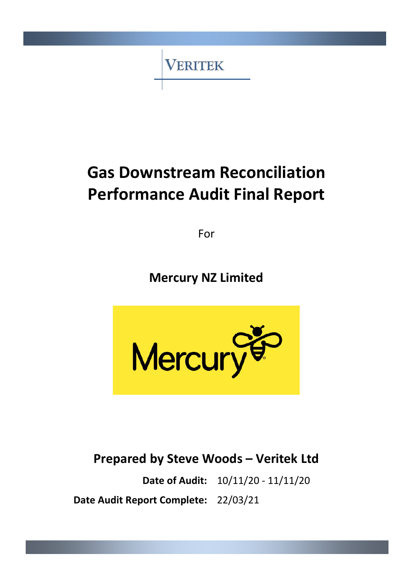**VERITEK** 

# **Gas Downstream Reconciliation Performance Audit Final Report**

For

**Mercury NZ Limited**



**Prepared by Steve Woods – Veritek Ltd**

**Date of Audit:** 10/11/20 - 11/11/20 **Date Audit Report Complete:** 22/03/21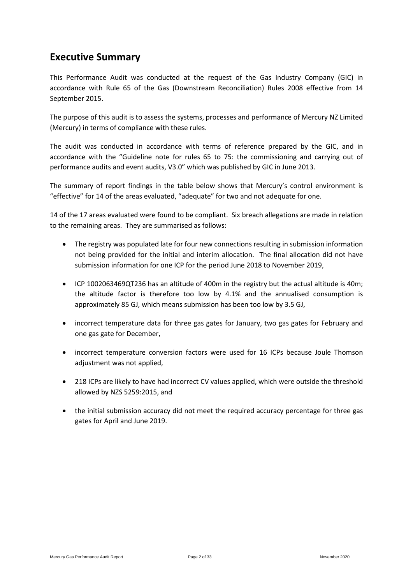### <span id="page-1-0"></span>**Executive Summary**

This Performance Audit was conducted at the request of the Gas Industry Company (GIC) in accordance with Rule 65 of the Gas (Downstream Reconciliation) Rules 2008 effective from 14 September 2015.

The purpose of this audit is to assess the systems, processes and performance of Mercury NZ Limited (Mercury) in terms of compliance with these rules.

The audit was conducted in accordance with terms of reference prepared by the GIC, and in accordance with the "Guideline note for rules 65 to 75: the commissioning and carrying out of performance audits and event audits, V3.0" which was published by GIC in June 2013.

The summary of report findings in the table below shows that Mercury's control environment is "effective" for 14 of the areas evaluated, "adequate" for two and not adequate for one.

14 of the 17 areas evaluated were found to be compliant. Six breach allegations are made in relation to the remaining areas. They are summarised as follows:

- The registry was populated late for four new connections resulting in submission information not being provided for the initial and interim allocation. The final allocation did not have submission information for one ICP for the period June 2018 to November 2019,
- ICP 1002063469QT236 has an altitude of 400m in the registry but the actual altitude is 40m; the altitude factor is therefore too low by 4.1% and the annualised consumption is approximately 85 GJ, which means submission has been too low by 3.5 GJ,
- incorrect temperature data for three gas gates for January, two gas gates for February and one gas gate for December,
- incorrect temperature conversion factors were used for 16 ICPs because Joule Thomson adjustment was not applied,
- 218 ICPs are likely to have had incorrect CV values applied, which were outside the threshold allowed by NZS 5259:2015, and
- the initial submission accuracy did not meet the required accuracy percentage for three gas gates for April and June 2019.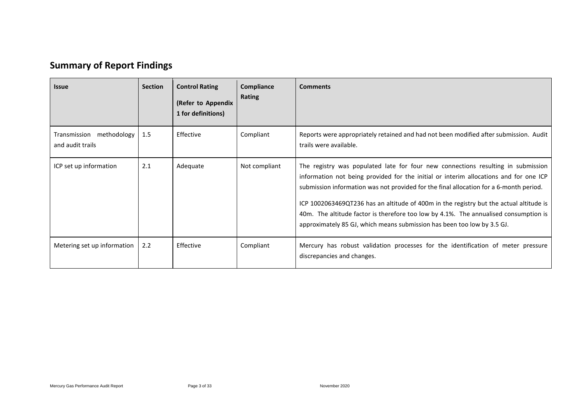## **Summary of Report Findings**

<span id="page-2-0"></span>

| <b>Issue</b>                                 | <b>Section</b> | <b>Control Rating</b><br>(Refer to Appendix<br>1 for definitions) | Compliance<br>Rating | <b>Comments</b>                                                                                                                                                                                                                                                                                                                                                                                                                                                                                                                  |
|----------------------------------------------|----------------|-------------------------------------------------------------------|----------------------|----------------------------------------------------------------------------------------------------------------------------------------------------------------------------------------------------------------------------------------------------------------------------------------------------------------------------------------------------------------------------------------------------------------------------------------------------------------------------------------------------------------------------------|
| Transmission methodology<br>and audit trails | 1.5            | Effective                                                         | Compliant            | Reports were appropriately retained and had not been modified after submission. Audit<br>trails were available.                                                                                                                                                                                                                                                                                                                                                                                                                  |
| ICP set up information                       | 2.1            | Adequate                                                          | Not compliant        | The registry was populated late for four new connections resulting in submission<br>information not being provided for the initial or interim allocations and for one ICP<br>submission information was not provided for the final allocation for a 6-month period.<br>ICP 1002063469QT236 has an altitude of 400m in the registry but the actual altitude is<br>40m. The altitude factor is therefore too low by 4.1%. The annualised consumption is<br>approximately 85 GJ, which means submission has been too low by 3.5 GJ. |
| Metering set up information                  | 2.2            | Effective                                                         | Compliant            | Mercury has robust validation processes for the identification of meter pressure<br>discrepancies and changes.                                                                                                                                                                                                                                                                                                                                                                                                                   |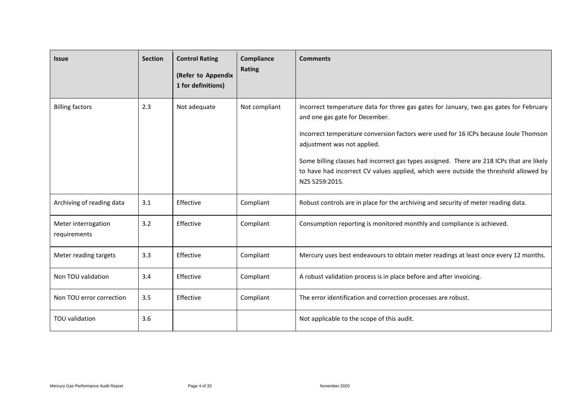| <b>Issue</b>                        | <b>Section</b> | <b>Control Rating</b><br>(Refer to Appendix<br>1 for definitions) | Compliance<br>Rating | <b>Comments</b>                                                                                                                                                                                                                                                                                                                                                                                                                                        |
|-------------------------------------|----------------|-------------------------------------------------------------------|----------------------|--------------------------------------------------------------------------------------------------------------------------------------------------------------------------------------------------------------------------------------------------------------------------------------------------------------------------------------------------------------------------------------------------------------------------------------------------------|
| <b>Billing factors</b>              | 2.3            | Not adequate                                                      | Not compliant        | Incorrect temperature data for three gas gates for January, two gas gates for February<br>and one gas gate for December.<br>Incorrect temperature conversion factors were used for 16 ICPs because Joule Thomson<br>adjustment was not applied.<br>Some billing classes had incorrect gas types assigned. There are 218 ICPs that are likely<br>to have had incorrect CV values applied, which were outside the threshold allowed by<br>NZS 5259:2015. |
| Archiving of reading data           | 3.1            | Effective                                                         | Compliant            | Robust controls are in place for the archiving and security of meter reading data.                                                                                                                                                                                                                                                                                                                                                                     |
| Meter interrogation<br>requirements | 3.2            | Effective                                                         | Compliant            | Consumption reporting is monitored monthly and compliance is achieved.                                                                                                                                                                                                                                                                                                                                                                                 |
| Meter reading targets               | 3.3            | Effective                                                         | Compliant            | Mercury uses best endeavours to obtain meter readings at least once every 12 months.                                                                                                                                                                                                                                                                                                                                                                   |
| Non TOU validation                  | 3.4            | Effective                                                         | Compliant            | A robust validation process is in place before and after invoicing.                                                                                                                                                                                                                                                                                                                                                                                    |
| Non TOU error correction            | 3.5            | Effective                                                         | Compliant            | The error identification and correction processes are robust.                                                                                                                                                                                                                                                                                                                                                                                          |
| TOU validation                      | 3.6            |                                                                   |                      | Not applicable to the scope of this audit.                                                                                                                                                                                                                                                                                                                                                                                                             |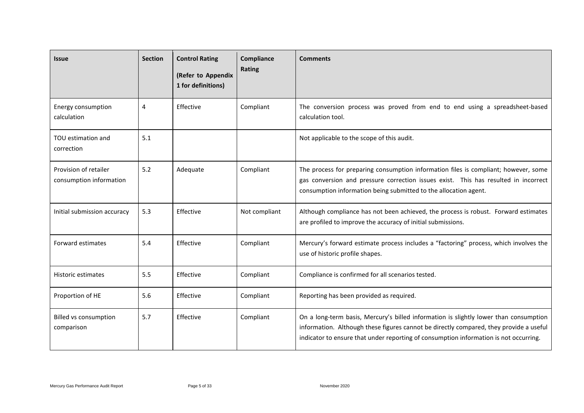| <b>Issue</b>                                     | <b>Section</b> | <b>Control Rating</b><br>(Refer to Appendix<br>1 for definitions) | Compliance<br><b>Rating</b> | <b>Comments</b>                                                                                                                                                                                                                                                          |
|--------------------------------------------------|----------------|-------------------------------------------------------------------|-----------------------------|--------------------------------------------------------------------------------------------------------------------------------------------------------------------------------------------------------------------------------------------------------------------------|
| Energy consumption<br>calculation                | 4              | Effective                                                         | Compliant                   | The conversion process was proved from end to end using a spreadsheet-based<br>calculation tool.                                                                                                                                                                         |
| TOU estimation and<br>correction                 | 5.1            |                                                                   |                             | Not applicable to the scope of this audit.                                                                                                                                                                                                                               |
| Provision of retailer<br>consumption information | 5.2            | Adequate                                                          | Compliant                   | The process for preparing consumption information files is compliant; however, some<br>gas conversion and pressure correction issues exist. This has resulted in incorrect<br>consumption information being submitted to the allocation agent.                           |
| Initial submission accuracy                      | 5.3            | Effective                                                         | Not compliant               | Although compliance has not been achieved, the process is robust. Forward estimates<br>are profiled to improve the accuracy of initial submissions.                                                                                                                      |
| Forward estimates                                | 5.4            | Effective                                                         | Compliant                   | Mercury's forward estimate process includes a "factoring" process, which involves the<br>use of historic profile shapes.                                                                                                                                                 |
| Historic estimates                               | 5.5            | Effective                                                         | Compliant                   | Compliance is confirmed for all scenarios tested.                                                                                                                                                                                                                        |
| Proportion of HE                                 | 5.6            | Effective                                                         | Compliant                   | Reporting has been provided as required.                                                                                                                                                                                                                                 |
| Billed vs consumption<br>comparison              | 5.7            | Effective                                                         | Compliant                   | On a long-term basis, Mercury's billed information is slightly lower than consumption<br>information. Although these figures cannot be directly compared, they provide a useful<br>indicator to ensure that under reporting of consumption information is not occurring. |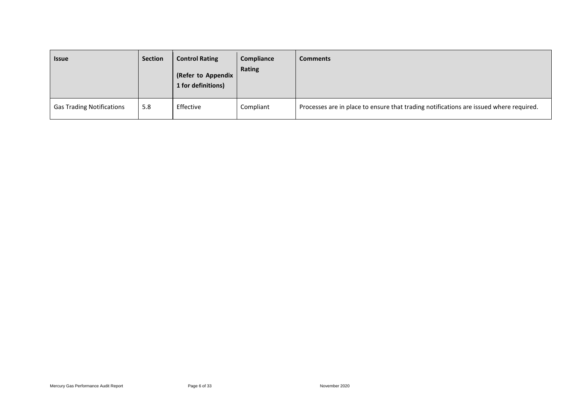| <b>Issue</b>                     | <b>Section</b> | <b>Control Rating</b><br>(Refer to Appendix<br>1 for definitions) | Compliance<br>Rating | <b>Comments</b>                                                                        |
|----------------------------------|----------------|-------------------------------------------------------------------|----------------------|----------------------------------------------------------------------------------------|
| <b>Gas Trading Notifications</b> | 5.8            | Effective                                                         | Compliant            | Processes are in place to ensure that trading notifications are issued where required. |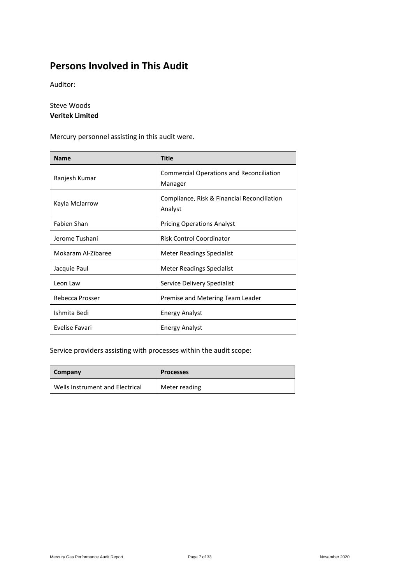### <span id="page-6-0"></span>**Persons Involved in This Audit**

Auditor:

Steve Woods **Veritek Limited**

Mercury personnel assisting in this audit were.

| <b>Name</b>        | <b>Title</b>                                               |
|--------------------|------------------------------------------------------------|
| Ranjesh Kumar      | <b>Commercial Operations and Reconciliation</b><br>Manager |
| Kayla McJarrow     | Compliance, Risk & Financial Reconciliation<br>Analyst     |
| Fabien Shan        | <b>Pricing Operations Analyst</b>                          |
| Jerome Tushani     | <b>Risk Control Coordinator</b>                            |
| Mokaram Al-Zibaree | Meter Readings Specialist                                  |
| Jacquie Paul       | Meter Readings Specialist                                  |
| Leon Law           | Service Delivery Spedialist                                |
| Rebecca Prosser    | Premise and Metering Team Leader                           |
| Ishmita Bedi       | <b>Energy Analyst</b>                                      |
| Evelise Favari     | <b>Energy Analyst</b>                                      |

Service providers assisting with processes within the audit scope:

| Company                         | <b>Processes</b> |
|---------------------------------|------------------|
| Wells Instrument and Electrical | Meter reading    |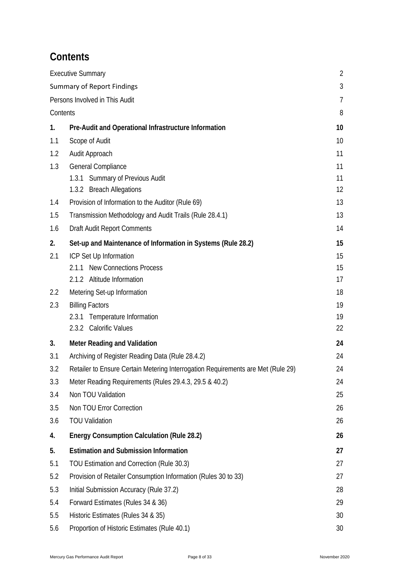### <span id="page-7-0"></span>**Contents**

|                                   | <b>Executive Summary</b>                                                         | $\overline{2}$ |
|-----------------------------------|----------------------------------------------------------------------------------|----------------|
| <b>Summary of Report Findings</b> |                                                                                  |                |
|                                   | Persons Involved in This Audit                                                   | 7              |
| Contents                          |                                                                                  |                |
| 1.                                | Pre-Audit and Operational Infrastructure Information                             | 10             |
| 1.1                               | Scope of Audit                                                                   | 10             |
| 1.2                               | Audit Approach                                                                   | 11             |
| 1.3                               | General Compliance                                                               | 11             |
|                                   | 1.3.1 Summary of Previous Audit                                                  | 11             |
|                                   | 1.3.2 Breach Allegations                                                         | 12             |
| 1.4                               | Provision of Information to the Auditor (Rule 69)                                | 13             |
| 1.5                               | Transmission Methodology and Audit Trails (Rule 28.4.1)                          | 13             |
| 1.6                               | Draft Audit Report Comments                                                      | 14             |
| 2.                                | Set-up and Maintenance of Information in Systems (Rule 28.2)                     | 15             |
| 2.1                               | ICP Set Up Information                                                           | 15             |
|                                   | 2.1.1 New Connections Process                                                    | 15             |
|                                   | 2.1.2 Altitude Information                                                       | 17             |
| 2.2                               | Metering Set-up Information                                                      | 18             |
| 2.3                               | <b>Billing Factors</b>                                                           | 19             |
|                                   | 2.3.1<br>Temperature Information<br>2.3.2 Calorific Values                       | 19             |
|                                   |                                                                                  | 22             |
| 3.                                | <b>Meter Reading and Validation</b>                                              | 24             |
| 3.1                               | Archiving of Register Reading Data (Rule 28.4.2)                                 | 24             |
| 3.2                               | Retailer to Ensure Certain Metering Interrogation Requirements are Met (Rule 29) | 24             |
| 3.3                               | Meter Reading Requirements (Rules 29.4.3, 29.5 & 40.2)                           | 24             |
| 3.4                               | Non TOU Validation                                                               | 25             |
| 3.5                               | Non TOU Error Correction                                                         | 26             |
| 3.6                               | <b>TOU Validation</b>                                                            | 26             |
| 4.                                | <b>Energy Consumption Calculation (Rule 28.2)</b>                                | 26             |
| 5.                                | <b>Estimation and Submission Information</b>                                     | 27             |
| 5.1                               | TOU Estimation and Correction (Rule 30.3)                                        | 27             |
| 5.2                               | Provision of Retailer Consumption Information (Rules 30 to 33)                   | 27             |
| 5.3                               | Initial Submission Accuracy (Rule 37.2)                                          | 28             |
| 5.4                               | Forward Estimates (Rules 34 & 36)                                                | 29             |
| 5.5                               | Historic Estimates (Rules 34 & 35)                                               | 30             |
| 5.6                               | Proportion of Historic Estimates (Rule 40.1)                                     | 30             |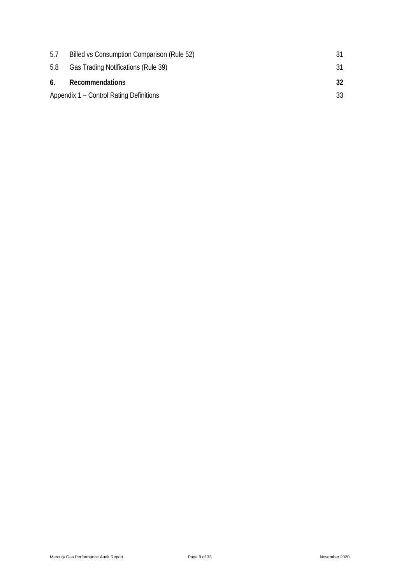| 5.7 | Billed vs Consumption Comparison (Rule 52) |    |
|-----|--------------------------------------------|----|
| 5.8 | Gas Trading Notifications (Rule 39)        |    |
|     |                                            |    |
| 6.  | Recommendations                            | 32 |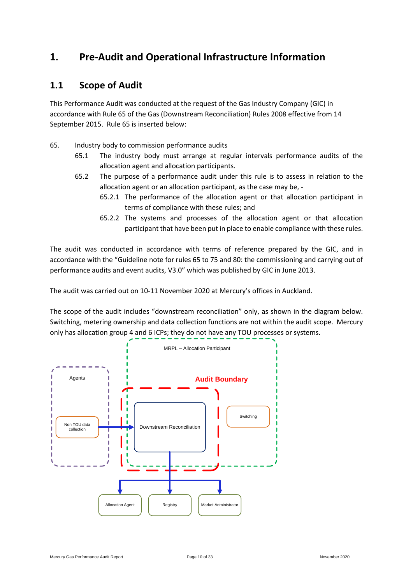### <span id="page-9-0"></span>**1. Pre-Audit and Operational Infrastructure Information**

#### <span id="page-9-1"></span>**1.1 Scope of Audit**

This Performance Audit was conducted at the request of the Gas Industry Company (GIC) in accordance with Rule 65 of the Gas (Downstream Reconciliation) Rules 2008 effective from 14 September 2015. Rule 65 is inserted below:

- 65. Industry body to commission performance audits
	- 65.1 The industry body must arrange at regular intervals performance audits of the allocation agent and allocation participants.
	- 65.2 The purpose of a performance audit under this rule is to assess in relation to the allocation agent or an allocation participant, as the case may be, -
		- 65.2.1 The performance of the allocation agent or that allocation participant in terms of compliance with these rules; and
		- 65.2.2 The systems and processes of the allocation agent or that allocation participant that have been put in place to enable compliance with these rules.

The audit was conducted in accordance with terms of reference prepared by the GIC, and in accordance with the "Guideline note for rules 65 to 75 and 80: the commissioning and carrying out of performance audits and event audits, V3.0" which was published by GIC in June 2013.

The audit was carried out on 10-11 November 2020 at Mercury's offices in Auckland.

The scope of the audit includes "downstream reconciliation" only, as shown in the diagram below. Switching, metering ownership and data collection functions are not within the audit scope. Mercury only has allocation group 4 and 6 ICPs; they do not have any TOU processes or systems.

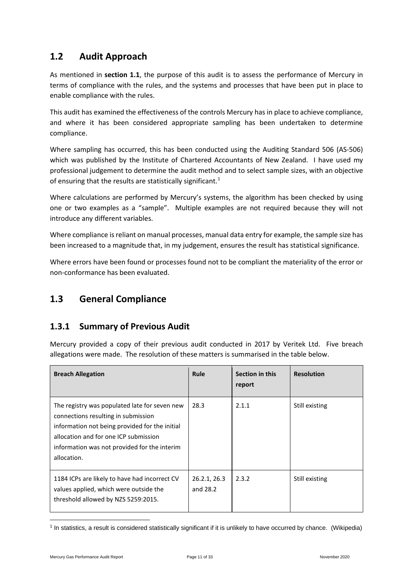#### <span id="page-10-0"></span>**1.2 Audit Approach**

As mentioned in **section 1.1**, the purpose of this audit is to assess the performance of Mercury in terms of compliance with the rules, and the systems and processes that have been put in place to enable compliance with the rules.

This audit has examined the effectiveness of the controls Mercury has in place to achieve compliance, and where it has been considered appropriate sampling has been undertaken to determine compliance.

Where sampling has occurred, this has been conducted using the Auditing Standard 506 (AS-506) which was published by the Institute of Chartered Accountants of New Zealand. I have used my professional judgement to determine the audit method and to select sample sizes, with an objective of ensuring that the results are statistically significant.<sup>[1](#page-10-3)</sup>

Where calculations are performed by Mercury's systems, the algorithm has been checked by using one or two examples as a "sample". Multiple examples are not required because they will not introduce any different variables.

Where compliance is reliant on manual processes, manual data entry for example, the sample size has been increased to a magnitude that, in my judgement, ensures the result has statistical significance.

Where errors have been found or processes found not to be compliant the materiality of the error or non-conformance has been evaluated.

#### <span id="page-10-1"></span>**1.3 General Compliance**

#### <span id="page-10-2"></span>**1.3.1 Summary of Previous Audit**

Mercury provided a copy of their previous audit conducted in 2017 by Veritek Ltd. Five breach allegations were made. The resolution of these matters is summarised in the table below.

| <b>Breach Allegation</b>                                                                                                                                                                                                                       | Rule                     | Section in this<br>report | <b>Resolution</b> |
|------------------------------------------------------------------------------------------------------------------------------------------------------------------------------------------------------------------------------------------------|--------------------------|---------------------------|-------------------|
| The registry was populated late for seven new<br>connections resulting in submission<br>information not being provided for the initial<br>allocation and for one ICP submission<br>information was not provided for the interim<br>allocation. | 28.3                     | 2.1.1                     | Still existing    |
| 1184 ICPs are likely to have had incorrect CV<br>values applied, which were outside the<br>threshold allowed by NZS 5259:2015.                                                                                                                 | 26.2.1, 26.3<br>and 28.2 | 2.3.2                     | Still existing    |

<span id="page-10-3"></span><sup>1</sup> In statistics, a result is considered statistically significant if it is unlikely to have occurred by chance. (Wikipedia)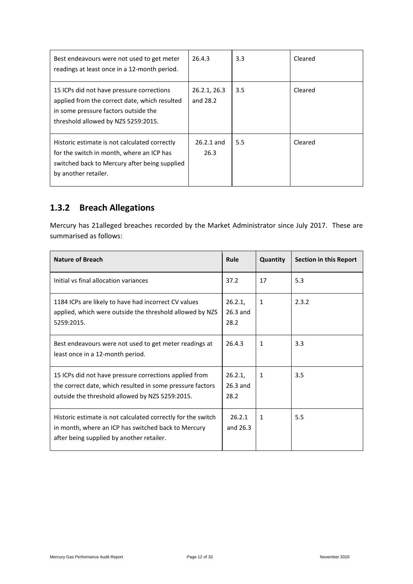| Best endeavours were not used to get meter<br>readings at least once in a 12-month period.                                                                                | 26.4.3                   | 3.3 | Cleared |
|---------------------------------------------------------------------------------------------------------------------------------------------------------------------------|--------------------------|-----|---------|
| 15 ICPs did not have pressure corrections<br>applied from the correct date, which resulted<br>in some pressure factors outside the<br>threshold allowed by NZS 5259:2015. | 26.2.1, 26.3<br>and 28.2 | 3.5 | Cleared |
| Historic estimate is not calculated correctly<br>for the switch in month, where an ICP has<br>switched back to Mercury after being supplied<br>by another retailer.       | $26.2.1$ and<br>26.3     | 5.5 | Cleared |

### <span id="page-11-0"></span>**1.3.2 Breach Allegations**

Mercury has 21alleged breaches recorded by the Market Administrator since July 2017. These are summarised as follows:

| <b>Nature of Breach</b>                                                                                                                                                | Rule                          | Quantity     | Section in this Report |
|------------------------------------------------------------------------------------------------------------------------------------------------------------------------|-------------------------------|--------------|------------------------|
| Initial vs final allocation variances                                                                                                                                  | 37.2                          | 17           | 5.3                    |
| 1184 ICPs are likely to have had incorrect CV values<br>applied, which were outside the threshold allowed by NZS<br>5259:2015.                                         | 26.2.1,<br>$26.3$ and<br>28.2 | 1            | 2.3.2                  |
| Best endeavours were not used to get meter readings at<br>least once in a 12-month period.                                                                             | 26.4.3                        | $\mathbf{1}$ | 3.3                    |
| 15 ICPs did not have pressure corrections applied from<br>the correct date, which resulted in some pressure factors<br>outside the threshold allowed by NZS 5259:2015. | 26.2.1<br>$26.3$ and<br>28.2  | 1            | 3.5                    |
| Historic estimate is not calculated correctly for the switch<br>in month, where an ICP has switched back to Mercury<br>after being supplied by another retailer.       | 26.2.1<br>and 26.3            | $\mathbf{1}$ | 5.5                    |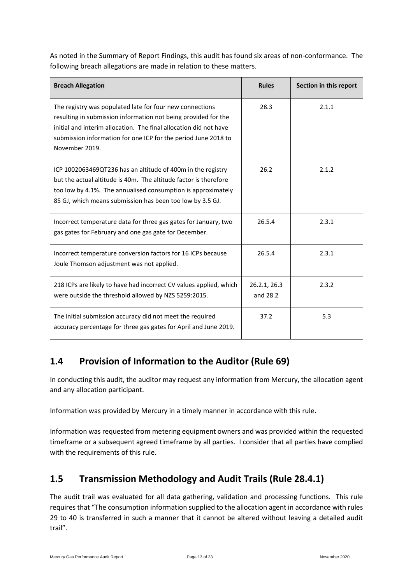As noted in the Summary of Report Findings, this audit has found six areas of non-conformance. The following breach allegations are made in relation to these matters.

| <b>Breach Allegation</b>                                                                                                                                                                                                                                                            | <b>Rules</b>             | Section in this report |
|-------------------------------------------------------------------------------------------------------------------------------------------------------------------------------------------------------------------------------------------------------------------------------------|--------------------------|------------------------|
| The registry was populated late for four new connections<br>resulting in submission information not being provided for the<br>initial and interim allocation. The final allocation did not have<br>submission information for one ICP for the period June 2018 to<br>November 2019. | 28.3                     | 2.1.1                  |
| ICP 1002063469QT236 has an altitude of 400m in the registry<br>but the actual altitude is 40m. The altitude factor is therefore<br>too low by 4.1%. The annualised consumption is approximately<br>85 GJ, which means submission has been too low by 3.5 GJ.                        | 26.2                     | 2.1.2                  |
| Incorrect temperature data for three gas gates for January, two<br>gas gates for February and one gas gate for December.                                                                                                                                                            | 26.5.4                   | 2.3.1                  |
| Incorrect temperature conversion factors for 16 ICPs because<br>Joule Thomson adjustment was not applied.                                                                                                                                                                           | 26.5.4                   | 2.3.1                  |
| 218 ICPs are likely to have had incorrect CV values applied, which<br>were outside the threshold allowed by NZS 5259:2015.                                                                                                                                                          | 26.2.1, 26.3<br>and 28.2 | 2.3.2                  |
| The initial submission accuracy did not meet the required<br>accuracy percentage for three gas gates for April and June 2019.                                                                                                                                                       | 37.2                     | 5.3                    |

### <span id="page-12-0"></span>**1.4 Provision of Information to the Auditor (Rule 69)**

In conducting this audit, the auditor may request any information from Mercury, the allocation agent and any allocation participant.

Information was provided by Mercury in a timely manner in accordance with this rule.

Information was requested from metering equipment owners and was provided within the requested timeframe or a subsequent agreed timeframe by all parties. I consider that all parties have complied with the requirements of this rule.

### <span id="page-12-1"></span>**1.5 Transmission Methodology and Audit Trails (Rule 28.4.1)**

The audit trail was evaluated for all data gathering, validation and processing functions. This rule requires that "The consumption information supplied to the allocation agent in accordance with rules 29 to 40 is transferred in such a manner that it cannot be altered without leaving a detailed audit trail".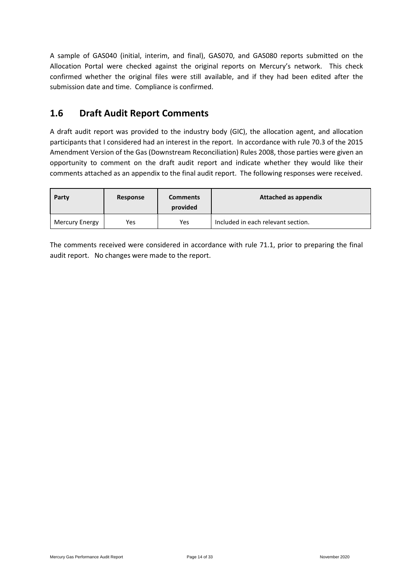A sample of GAS040 (initial, interim, and final), GAS070, and GAS080 reports submitted on the Allocation Portal were checked against the original reports on Mercury's network. This check confirmed whether the original files were still available, and if they had been edited after the submission date and time. Compliance is confirmed.

#### <span id="page-13-0"></span>**1.6 Draft Audit Report Comments**

A draft audit report was provided to the industry body (GIC), the allocation agent, and allocation participants that I considered had an interest in the report. In accordance with rule 70.3 of the 2015 Amendment Version of the Gas (Downstream Reconciliation) Rules 2008, those parties were given an opportunity to comment on the draft audit report and indicate whether they would like their comments attached as an appendix to the final audit report. The following responses were received.

| Party                 | Response | <b>Comments</b><br>provided | Attached as appendix               |
|-----------------------|----------|-----------------------------|------------------------------------|
| <b>Mercury Energy</b> | Yes      | Yes                         | Included in each relevant section. |

The comments received were considered in accordance with rule 71.1, prior to preparing the final audit report. No changes were made to the report.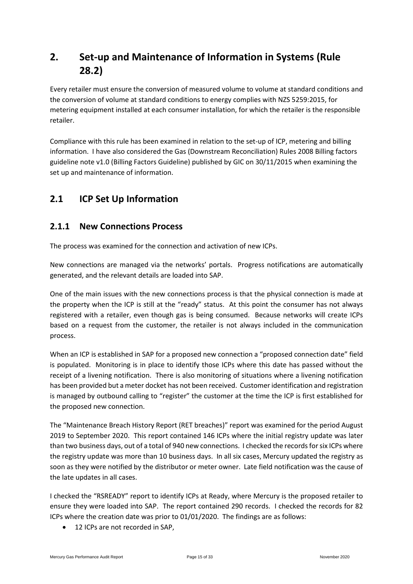### <span id="page-14-0"></span>**2. Set-up and Maintenance of Information in Systems (Rule 28.2)**

Every retailer must ensure the conversion of measured volume to volume at standard conditions and the conversion of volume at standard conditions to energy complies with NZS 5259:2015, for metering equipment installed at each consumer installation, for which the retailer is the responsible retailer.

Compliance with this rule has been examined in relation to the set-up of ICP, metering and billing information. I have also considered the Gas (Downstream Reconciliation) Rules 2008 Billing factors guideline note v1.0 (Billing Factors Guideline) published by GIC on 30/11/2015 when examining the set up and maintenance of information.

### <span id="page-14-1"></span>**2.1 ICP Set Up Information**

#### <span id="page-14-2"></span>**2.1.1 New Connections Process**

The process was examined for the connection and activation of new ICPs.

New connections are managed via the networks' portals. Progress notifications are automatically generated, and the relevant details are loaded into SAP.

One of the main issues with the new connections process is that the physical connection is made at the property when the ICP is still at the "ready" status. At this point the consumer has not always registered with a retailer, even though gas is being consumed. Because networks will create ICPs based on a request from the customer, the retailer is not always included in the communication process.

When an ICP is established in SAP for a proposed new connection a "proposed connection date" field is populated. Monitoring is in place to identify those ICPs where this date has passed without the receipt of a livening notification. There is also monitoring of situations where a livening notification has been provided but a meter docket has not been received. Customer identification and registration is managed by outbound calling to "register" the customer at the time the ICP is first established for the proposed new connection.

The "Maintenance Breach History Report (RET breaches)" report was examined for the period August 2019 to September 2020. This report contained 146 ICPs where the initial registry update was later than two business days, out of a total of 940 new connections. I checked the records forsix ICPs where the registry update was more than 10 business days. In all six cases, Mercury updated the registry as soon as they were notified by the distributor or meter owner. Late field notification was the cause of the late updates in all cases.

I checked the "RSREADY" report to identify ICPs at Ready, where Mercury is the proposed retailer to ensure they were loaded into SAP. The report contained 290 records. I checked the records for 82 ICPs where the creation date was prior to 01/01/2020. The findings are as follows:

12 ICPs are not recorded in SAP,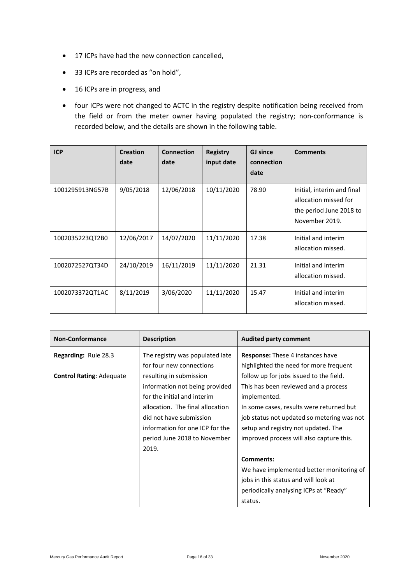- 17 ICPs have had the new connection cancelled,
- 33 ICPs are recorded as "on hold",
- 16 ICPs are in progress, and
- four ICPs were not changed to ACTC in the registry despite notification being received from the field or from the meter owner having populated the registry; non-conformance is recorded below, and the details are shown in the following table.

| <b>ICP</b>      | <b>Creation</b><br>date | <b>Connection</b><br>date | <b>Registry</b><br>input date | <b>GJ</b> since<br>connection<br>date | <b>Comments</b>                                                                                  |
|-----------------|-------------------------|---------------------------|-------------------------------|---------------------------------------|--------------------------------------------------------------------------------------------------|
| 1001295913NG57B | 9/05/2018               | 12/06/2018                | 10/11/2020                    | 78.90                                 | Initial, interim and final<br>allocation missed for<br>the period June 2018 to<br>November 2019. |
| 1002035223QT2B0 | 12/06/2017              | 14/07/2020                | 11/11/2020                    | 17.38                                 | Initial and interim<br>allocation missed.                                                        |
| 1002072527QT34D | 24/10/2019              | 16/11/2019                | 11/11/2020                    | 21.31                                 | Initial and interim<br>allocation missed.                                                        |
| 1002073372QT1AC | 8/11/2019               | 3/06/2020                 | 11/11/2020                    | 15.47                                 | Initial and interim<br>allocation missed.                                                        |

| <b>Non-Conformance</b>          | <b>Description</b>               | <b>Audited party comment</b>               |
|---------------------------------|----------------------------------|--------------------------------------------|
| <b>Regarding: Rule 28.3</b>     | The registry was populated late  | <b>Response:</b> These 4 instances have    |
|                                 | for four new connections         | highlighted the need for more frequent     |
| <b>Control Rating: Adequate</b> | resulting in submission          | follow up for jobs issued to the field.    |
|                                 | information not being provided   | This has been reviewed and a process       |
|                                 | for the initial and interim      | implemented.                               |
|                                 | allocation. The final allocation | In some cases, results were returned but   |
|                                 | did not have submission          | job status not updated so metering was not |
|                                 | information for one ICP for the  | setup and registry not updated. The        |
|                                 | period June 2018 to November     | improved process will also capture this.   |
|                                 | 2019.                            |                                            |
|                                 |                                  | <b>Comments:</b>                           |
|                                 |                                  | We have implemented better monitoring of   |
|                                 |                                  | jobs in this status and will look at       |
|                                 |                                  | periodically analysing ICPs at "Ready"     |
|                                 |                                  | status.                                    |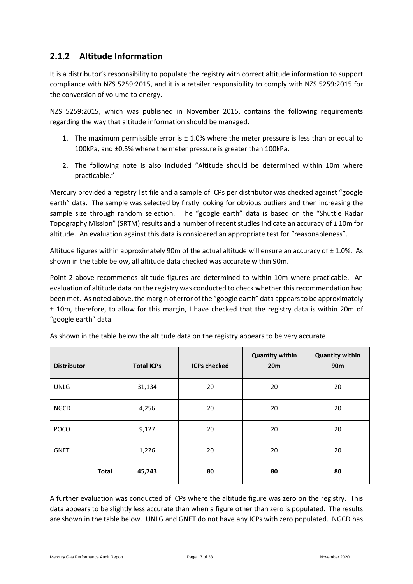#### <span id="page-16-0"></span>**2.1.2 Altitude Information**

It is a distributor's responsibility to populate the registry with correct altitude information to support compliance with NZS 5259:2015, and it is a retailer responsibility to comply with NZS 5259:2015 for the conversion of volume to energy.

NZS 5259:2015, which was published in November 2015, contains the following requirements regarding the way that altitude information should be managed.

- 1. The maximum permissible error is  $\pm$  1.0% where the meter pressure is less than or equal to 100kPa, and ±0.5% where the meter pressure is greater than 100kPa.
- 2. The following note is also included "Altitude should be determined within 10m where practicable."

Mercury provided a registry list file and a sample of ICPs per distributor was checked against "google earth" data. The sample was selected by firstly looking for obvious outliers and then increasing the sample size through random selection. The "google earth" data is based on the "Shuttle Radar Topography Mission" (SRTM) results and a number of recent studies indicate an accuracy of  $\pm$  10m for altitude. An evaluation against this data is considered an appropriate test for "reasonableness".

Altitude figures within approximately 90m of the actual altitude will ensure an accuracy of  $\pm$  1.0%. As shown in the table below, all altitude data checked was accurate within 90m.

Point 2 above recommends altitude figures are determined to within 10m where practicable. An evaluation of altitude data on the registry was conducted to check whether this recommendation had been met. As noted above, the margin of error of the "google earth" data appears to be approximately ± 10m, therefore, to allow for this margin, I have checked that the registry data is within 20m of "google earth" data.

| <b>Distributor</b> | <b>Total ICPs</b> | <b>ICPs checked</b> | <b>Quantity within</b><br>20m | <b>Quantity within</b><br>90 <sub>m</sub> |
|--------------------|-------------------|---------------------|-------------------------------|-------------------------------------------|
| <b>UNLG</b>        | 31,134            | 20                  | 20                            | 20                                        |
| <b>NGCD</b>        | 4,256             | 20                  | 20                            | 20                                        |
| <b>POCO</b>        | 9,127             | 20                  | 20                            | 20                                        |
| <b>GNET</b>        | 1,226             | 20                  | 20                            | 20                                        |
| <b>Total</b>       | 45,743            | 80                  | 80                            | 80                                        |

As shown in the table below the altitude data on the registry appears to be very accurate.

A further evaluation was conducted of ICPs where the altitude figure was zero on the registry. This data appears to be slightly less accurate than when a figure other than zero is populated. The results are shown in the table below. UNLG and GNET do not have any ICPs with zero populated. NGCD has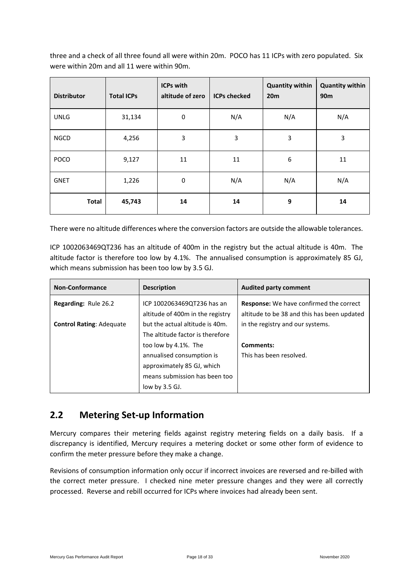three and a check of all three found all were within 20m. POCO has 11 ICPs with zero populated. Six were within 20m and all 11 were within 90m.

| <b>Distributor</b> | <b>Total ICPs</b> | <b>ICPs with</b><br>altitude of zero | <b>ICPs checked</b> | <b>Quantity within</b><br>20 <sub>m</sub> | <b>Quantity within</b><br>90 <sub>m</sub> |
|--------------------|-------------------|--------------------------------------|---------------------|-------------------------------------------|-------------------------------------------|
| <b>UNLG</b>        | 31,134            | $\mathbf 0$                          | N/A                 | N/A                                       | N/A                                       |
| <b>NGCD</b>        | 4,256             | 3                                    | 3                   | 3                                         | 3                                         |
| <b>POCO</b>        | 9,127             | 11                                   | 11                  | 6                                         | 11                                        |
| <b>GNET</b>        | 1,226             | $\mathbf 0$                          | N/A                 | N/A                                       | N/A                                       |
| <b>Total</b>       | 45,743            | 14                                   | 14                  | 9                                         | 14                                        |

There were no altitude differences where the conversion factors are outside the allowable tolerances.

ICP 1002063469QT236 has an altitude of 400m in the registry but the actual altitude is 40m. The altitude factor is therefore too low by 4.1%. The annualised consumption is approximately 85 GJ, which means submission has been too low by 3.5 GJ.

| <b>Non-Conformance</b>          | <b>Description</b>                                                  | <b>Audited party comment</b>                                                                  |
|---------------------------------|---------------------------------------------------------------------|-----------------------------------------------------------------------------------------------|
| Regarding: Rule 26.2            | ICP 1002063469QT236 has an<br>altitude of 400m in the registry      | <b>Response:</b> We have confirmed the correct<br>altitude to be 38 and this has been updated |
| <b>Control Rating: Adequate</b> | but the actual altitude is 40m.<br>The altitude factor is therefore | in the registry and our systems.                                                              |
|                                 | too low by 4.1%. The                                                | Comments:                                                                                     |
|                                 | annualised consumption is                                           | This has been resolved.                                                                       |
|                                 | approximately 85 GJ, which                                          |                                                                                               |
|                                 | means submission has been too                                       |                                                                                               |
|                                 | low by 3.5 GJ.                                                      |                                                                                               |

#### <span id="page-17-0"></span>**2.2 Metering Set-up Information**

Mercury compares their metering fields against registry metering fields on a daily basis. If a discrepancy is identified, Mercury requires a metering docket or some other form of evidence to confirm the meter pressure before they make a change.

Revisions of consumption information only occur if incorrect invoices are reversed and re-billed with the correct meter pressure. I checked nine meter pressure changes and they were all correctly processed. Reverse and rebill occurred for ICPs where invoices had already been sent.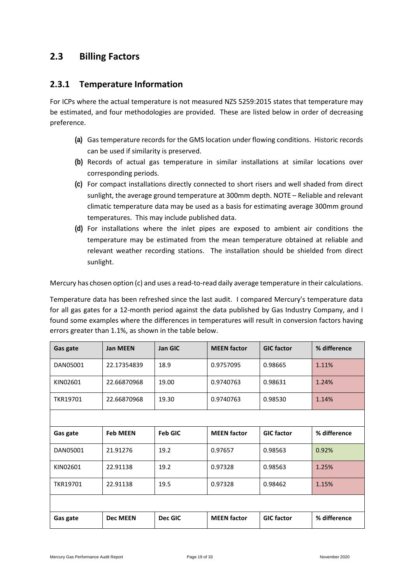#### <span id="page-18-0"></span>**2.3 Billing Factors**

#### <span id="page-18-1"></span>**2.3.1 Temperature Information**

For ICPs where the actual temperature is not measured NZS 5259:2015 states that temperature may be estimated, and four methodologies are provided. These are listed below in order of decreasing preference.

- **(a)** Gas temperature records for the GMS location under flowing conditions. Historic records can be used if similarity is preserved.
- **(b)** Records of actual gas temperature in similar installations at similar locations over corresponding periods.
- **(c)** For compact installations directly connected to short risers and well shaded from direct sunlight, the average ground temperature at 300mm depth. NOTE – Reliable and relevant climatic temperature data may be used as a basis for estimating average 300mm ground temperatures. This may include published data.
- **(d)** For installations where the inlet pipes are exposed to ambient air conditions the temperature may be estimated from the mean temperature obtained at reliable and relevant weather recording stations. The installation should be shielded from direct sunlight.

Mercury has chosen option (c) and uses a read-to-read daily average temperature in their calculations.

Temperature data has been refreshed since the last audit. I compared Mercury's temperature data for all gas gates for a 12-month period against the data published by Gas Industry Company, and I found some examples where the differences in temperatures will result in conversion factors having errors greater than 1.1%, as shown in the table below.

| Gas gate | <b>Jan MEEN</b> | <b>Jan GIC</b> | <b>MEEN</b> factor | <b>GIC factor</b> | % difference |
|----------|-----------------|----------------|--------------------|-------------------|--------------|
| DAN05001 | 22.17354839     | 18.9           | 0.9757095          | 0.98665           | 1.11%        |
| KIN02601 | 22.66870968     | 19.00          | 0.9740763          | 0.98631           | 1.24%        |
| TKR19701 | 22.66870968     | 19.30          | 0.9740763          | 0.98530           | 1.14%        |
|          |                 |                |                    |                   |              |
| Gas gate | <b>Feb MEEN</b> | <b>Feb GIC</b> | <b>MEEN</b> factor | <b>GIC factor</b> | % difference |
| DAN05001 | 21.91276        | 19.2           | 0.97657            | 0.98563           | 0.92%        |
| KIN02601 | 22.91138        | 19.2           | 0.97328            | 0.98563           | 1.25%        |
| TKR19701 | 22.91138        | 19.5           | 0.97328            | 0.98462           | 1.15%        |
|          |                 |                |                    |                   |              |
| Gas gate | <b>Dec MEEN</b> | Dec GIC        | <b>MEEN</b> factor | <b>GIC factor</b> | % difference |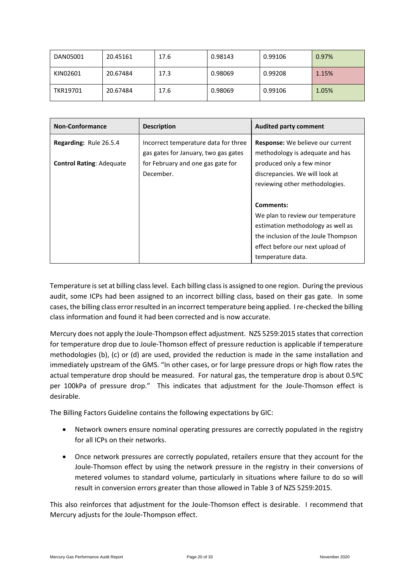| DAN05001 | 20.45161 | 17.6 | 0.98143 | 0.99106 | 0.97% |
|----------|----------|------|---------|---------|-------|
| KIN02601 | 20.67484 | 17.3 | 0.98069 | 0.99208 | 1.15% |
| TKR19701 | 20.67484 | 17.6 | 0.98069 | 0.99106 | 1.05% |

| <b>Non-Conformance</b>          | <b>Description</b>                                                           | <b>Audited party comment</b>                                                                                                                                                        |
|---------------------------------|------------------------------------------------------------------------------|-------------------------------------------------------------------------------------------------------------------------------------------------------------------------------------|
| <b>Regarding: Rule 26.5.4</b>   | Incorrect temperature data for three<br>gas gates for January, two gas gates | <b>Response:</b> We believe our current<br>methodology is adequate and has                                                                                                          |
| <b>Control Rating: Adequate</b> | for February and one gas gate for<br>December.                               | produced only a few minor<br>discrepancies. We will look at<br>reviewing other methodologies.                                                                                       |
|                                 |                                                                              | Comments:<br>We plan to review our temperature<br>estimation methodology as well as<br>the inclusion of the Joule Thompson<br>effect before our next upload of<br>temperature data. |

Temperature is set at billing class level. Each billing class is assigned to one region. During the previous audit, some ICPs had been assigned to an incorrect billing class, based on their gas gate. In some cases, the billing class error resulted in an incorrect temperature being applied. I re-checked the billing class information and found it had been corrected and is now accurate.

Mercury does not apply the Joule-Thompson effect adjustment. NZS 5259:2015 states that correction for temperature drop due to Joule-Thomson effect of pressure reduction is applicable if temperature methodologies (b), (c) or (d) are used, provided the reduction is made in the same installation and immediately upstream of the GMS. "In other cases, or for large pressure drops or high flow rates the actual temperature drop should be measured. For natural gas, the temperature drop is about 0.5ºC per 100kPa of pressure drop." This indicates that adjustment for the Joule-Thomson effect is desirable.

The Billing Factors Guideline contains the following expectations by GIC:

- Network owners ensure nominal operating pressures are correctly populated in the registry for all ICPs on their networks.
- Once network pressures are correctly populated, retailers ensure that they account for the Joule-Thomson effect by using the network pressure in the registry in their conversions of metered volumes to standard volume, particularly in situations where failure to do so will result in conversion errors greater than those allowed in Table 3 of NZS 5259:2015.

This also reinforces that adjustment for the Joule-Thomson effect is desirable. I recommend that Mercury adjusts for the Joule-Thompson effect.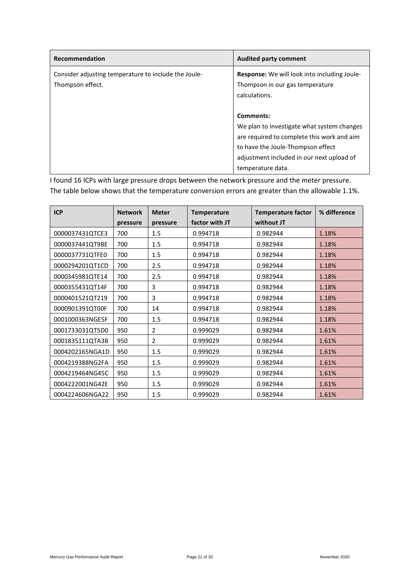| Recommendation                                       | <b>Audited party comment</b>                 |
|------------------------------------------------------|----------------------------------------------|
| Consider adjusting temperature to include the Joule- | Response: We will look into including Joule- |
| Thompson effect.                                     | Thompson in our gas temperature              |
|                                                      | calculations.                                |
|                                                      |                                              |
|                                                      | Comments:                                    |
|                                                      | We plan to investigate what system changes   |
|                                                      | are required to complete this work and aim   |
|                                                      | to have the Joule-Thompson effect            |
|                                                      | adjustment included in our next upload of    |
|                                                      | temperature data.                            |

I found 16 ICPs with large pressure drops between the network pressure and the meter pressure. The table below shows that the temperature conversion errors are greater than the allowable 1.1%.

| <b>ICP</b>      | <b>Network</b> | <b>Meter</b>   | <b>Temperature</b> | <b>Temperature factor</b> | % difference |
|-----------------|----------------|----------------|--------------------|---------------------------|--------------|
|                 | pressure       | pressure       | factor with JT     | without JT                |              |
| 0000037431QTCE3 | 700            | 1.5            | 0.994718           | 0.982944                  | 1.18%        |
| 0000037441QT9BE | 700            | 1.5            | 0.994718           | 0.982944                  | 1.18%        |
| 0000037731QTFE0 | 700            | 1.5            | 0.994718           | 0.982944                  | 1.18%        |
| 0000294201QT1CD | 700            | 2.5            | 0.994718           | 0.982944                  | 1.18%        |
| 0000345981QTE14 | 700            | 2.5            | 0.994718           | 0.982944                  | 1.18%        |
| 0000355431QT14F | 700            | 3              | 0.994718           | 0.982944                  | 1.18%        |
| 0000401521QT219 | 700            | 3              | 0.994718           | 0.982944                  | 1.18%        |
| 0000901391QT00F | 700            | 14             | 0.994718           | 0.982944                  | 1.18%        |
| 0001000363NGE5F | 700            | 1.5            | 0.994718           | 0.982944                  | 1.18%        |
| 0001733031QT5D0 | 950            | $\overline{2}$ | 0.999029           | 0.982944                  | 1.61%        |
| 0001835111QTA3B | 950            | $\overline{2}$ | 0.999029           | 0.982944                  | 1.61%        |
| 0004202165NGA1D | 950            | 1.5            | 0.999029           | 0.982944                  | 1.61%        |
| 0004219388NG2FA | 950            | 1.5            | 0.999029           | 0.982944                  | 1.61%        |
| 0004219464NG45C | 950            | 1.5            | 0.999029           | 0.982944                  | 1.61%        |
| 0004222001NG42E | 950            | 1.5            | 0.999029           | 0.982944                  | 1.61%        |
| 0004224606NGA22 | 950            | 1.5            | 0.999029           | 0.982944                  | 1.61%        |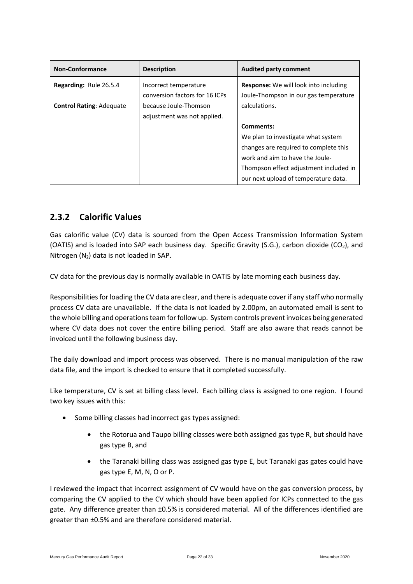| <b>Non-Conformance</b>          | <b>Description</b>             | <b>Audited party comment</b>                 |
|---------------------------------|--------------------------------|----------------------------------------------|
| Regarding: Rule 26.5.4          | Incorrect temperature          | <b>Response:</b> We will look into including |
|                                 | conversion factors for 16 ICPs | Joule-Thompson in our gas temperature        |
| <b>Control Rating: Adequate</b> | because Joule-Thomson          | calculations.                                |
|                                 | adjustment was not applied.    |                                              |
|                                 |                                | Comments:                                    |
|                                 |                                | We plan to investigate what system           |
|                                 |                                | changes are required to complete this        |
|                                 |                                | work and aim to have the Joule-              |
|                                 |                                | Thompson effect adjustment included in       |
|                                 |                                | our next upload of temperature data.         |

#### <span id="page-21-0"></span>**2.3.2 Calorific Values**

Gas calorific value (CV) data is sourced from the Open Access Transmission Information System (OATIS) and is loaded into SAP each business day. Specific Gravity (S.G.), carbon dioxide (CO<sub>2</sub>), and Nitrogen  $(N_2)$  data is not loaded in SAP.

CV data for the previous day is normally available in OATIS by late morning each business day.

Responsibilities for loading the CV data are clear, and there is adequate cover if any staff who normally process CV data are unavailable. If the data is not loaded by 2.00pm, an automated email is sent to the whole billing and operations team for follow up. System controls prevent invoices being generated where CV data does not cover the entire billing period. Staff are also aware that reads cannot be invoiced until the following business day.

The daily download and import process was observed. There is no manual manipulation of the raw data file, and the import is checked to ensure that it completed successfully.

Like temperature, CV is set at billing class level. Each billing class is assigned to one region. I found two key issues with this:

- Some billing classes had incorrect gas types assigned:
	- the Rotorua and Taupo billing classes were both assigned gas type R, but should have gas type B, and
	- the Taranaki billing class was assigned gas type E, but Taranaki gas gates could have gas type E, M, N, O or P.

I reviewed the impact that incorrect assignment of CV would have on the gas conversion process, by comparing the CV applied to the CV which should have been applied for ICPs connected to the gas gate. Any difference greater than ±0.5% is considered material. All of the differences identified are greater than ±0.5% and are therefore considered material.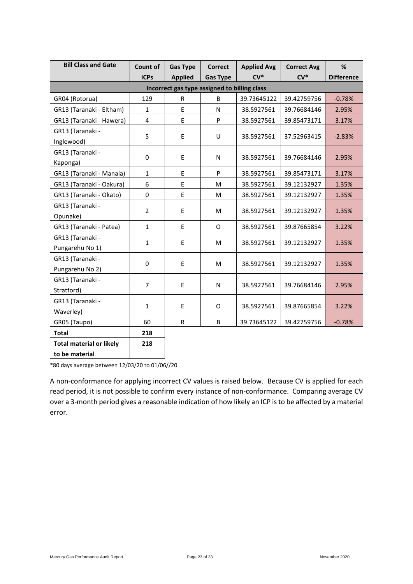| <b>Bill Class and Gate</b>      | <b>Count of</b> | <b>Gas Type</b>                              | <b>Correct</b>  | <b>Applied Avg</b> | <b>Correct Avg</b> | %                 |
|---------------------------------|-----------------|----------------------------------------------|-----------------|--------------------|--------------------|-------------------|
|                                 | <b>ICPs</b>     | <b>Applied</b>                               | <b>Gas Type</b> | $CV*$              | $CV^*$             | <b>Difference</b> |
|                                 |                 | Incorrect gas type assigned to billing class |                 |                    |                    |                   |
| GR04 (Rotorua)                  | 129             | R                                            | B               | 39.73645122        | 39.42759756        | $-0.78%$          |
| GR13 (Taranaki - Eltham)        | $\mathbf{1}$    | E                                            | N               | 38.5927561         | 39.76684146        | 2.95%             |
| GR13 (Taranaki - Hawera)        | 4               | E                                            | P               | 38.5927561         | 39.85473171        | 3.17%             |
| GR13 (Taranaki -                | 5               | E                                            | U               | 38.5927561         | 37.52963415        |                   |
| Inglewood)                      |                 |                                              |                 |                    |                    | $-2.83%$          |
| GR13 (Taranaki -                | $\pmb{0}$       | E                                            |                 | 38.5927561         | 39.76684146        | 2.95%             |
| Kaponga)                        |                 |                                              | N               |                    |                    |                   |
| GR13 (Taranaki - Manaia)        | $\mathbf{1}$    | E                                            | P               | 38.5927561         | 39.85473171        | 3.17%             |
| GR13 (Taranaki - Oakura)        | 6               | E                                            | M               | 38.5927561         | 39.12132927        | 1.35%             |
| GR13 (Taranaki - Okato)         | 0               | E                                            | M               | 38.5927561         | 39.12132927        | 1.35%             |
| GR13 (Taranaki -                | $\overline{2}$  | E                                            |                 | 38.5927561         | 39.12132927        |                   |
| Opunake)                        |                 |                                              | M               |                    |                    | 1.35%             |
| GR13 (Taranaki - Patea)         | $\mathbf{1}$    | E                                            | O               | 38.5927561         | 39.87665854        | 3.22%             |
| GR13 (Taranaki -                | $\mathbf{1}$    | E                                            | M               | 38.5927561         | 39.12132927        |                   |
| Pungarehu No 1)                 |                 |                                              |                 |                    |                    | 1.35%             |
| GR13 (Taranaki -                | 0               | E                                            | M               | 38.5927561         | 39.12132927        | 1.35%             |
| Pungarehu No 2)                 |                 |                                              |                 |                    |                    |                   |
| GR13 (Taranaki -                | 7               | E                                            | N               | 38.5927561         | 39.76684146        | 2.95%             |
| Stratford)                      |                 |                                              |                 |                    |                    |                   |
| GR13 (Taranaki -                | $\mathbf{1}$    | E                                            | O               | 38.5927561         | 39.87665854        | 3.22%             |
| Waverley)                       |                 |                                              |                 |                    |                    |                   |
| GR05 (Taupo)                    | 60              | R                                            | B               | 39.73645122        | 39.42759756        | $-0.78%$          |
| <b>Total</b>                    | 218             |                                              |                 |                    |                    |                   |
| <b>Total material or likely</b> | 218             |                                              |                 |                    |                    |                   |
| to be material                  |                 |                                              |                 |                    |                    |                   |

\*80 days average between 12/03/20 to 01/06//20

A non-conformance for applying incorrect CV values is raised below. Because CV is applied for each read period, it is not possible to confirm every instance of non-conformance. Comparing average CV over a 3-month period gives a reasonable indication of how likely an ICP is to be affected by a material error.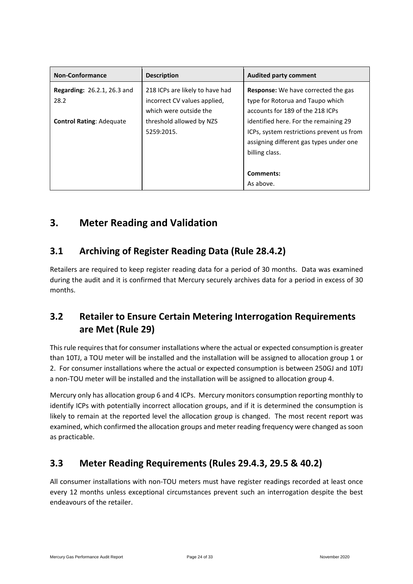| <b>Non-Conformance</b>                     | <b>Description</b>                                                                        | <b>Audited party comment</b>                                                                                                                                              |
|--------------------------------------------|-------------------------------------------------------------------------------------------|---------------------------------------------------------------------------------------------------------------------------------------------------------------------------|
| <b>Regarding: 26.2.1, 26.3 and</b><br>28.2 | 218 ICPs are likely to have had<br>incorrect CV values applied,<br>which were outside the | <b>Response:</b> We have corrected the gas<br>type for Rotorua and Taupo which<br>accounts for 189 of the 218 ICPs                                                        |
| <b>Control Rating: Adequate</b>            | threshold allowed by NZS<br>5259:2015.                                                    | identified here. For the remaining 29<br>ICPs, system restrictions prevent us from<br>assigning different gas types under one<br>billing class.<br>Comments:<br>As above. |

### <span id="page-23-0"></span>**3. Meter Reading and Validation**

### <span id="page-23-1"></span>**3.1 Archiving of Register Reading Data (Rule 28.4.2)**

Retailers are required to keep register reading data for a period of 30 months. Data was examined during the audit and it is confirmed that Mercury securely archives data for a period in excess of 30 months.

### <span id="page-23-2"></span>**3.2 Retailer to Ensure Certain Metering Interrogation Requirements are Met (Rule 29)**

This rule requires that for consumer installations where the actual or expected consumption is greater than 10TJ, a TOU meter will be installed and the installation will be assigned to allocation group 1 or 2. For consumer installations where the actual or expected consumption is between 250GJ and 10TJ a non-TOU meter will be installed and the installation will be assigned to allocation group 4.

Mercury only has allocation group 6 and 4 ICPs. Mercury monitors consumption reporting monthly to identify ICPs with potentially incorrect allocation groups, and if it is determined the consumption is likely to remain at the reported level the allocation group is changed. The most recent report was examined, which confirmed the allocation groups and meter reading frequency were changed as soon as practicable.

### <span id="page-23-3"></span>**3.3 Meter Reading Requirements (Rules 29.4.3, 29.5 & 40.2)**

All consumer installations with non-TOU meters must have register readings recorded at least once every 12 months unless exceptional circumstances prevent such an interrogation despite the best endeavours of the retailer.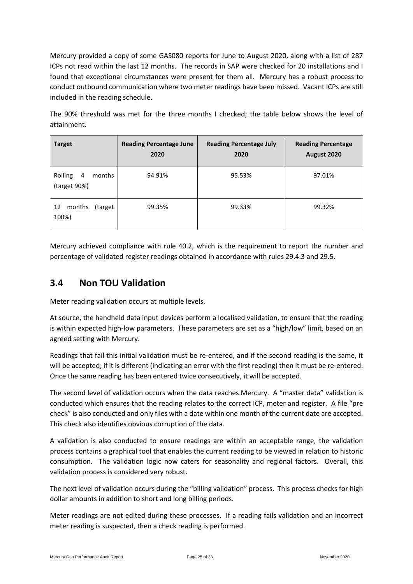Mercury provided a copy of some GAS080 reports for June to August 2020, along with a list of 287 ICPs not read within the last 12 months. The records in SAP were checked for 20 installations and I found that exceptional circumstances were present for them all. Mercury has a robust process to conduct outbound communication where two meter readings have been missed. Vacant ICPs are still included in the reading schedule.

The 90% threshold was met for the three months I checked; the table below shows the level of attainment.

| <b>Target</b>                                       | <b>Reading Percentage June</b><br>2020 | <b>Reading Percentage July</b><br>2020 | <b>Reading Percentage</b><br>August 2020 |
|-----------------------------------------------------|----------------------------------------|----------------------------------------|------------------------------------------|
| Rolling<br>$\overline{4}$<br>months<br>(target 90%) | 94.91%                                 | 95.53%                                 | 97.01%                                   |
| 12<br>months<br>(target)<br>100%)                   | 99.35%                                 | 99.33%                                 | 99.32%                                   |

Mercury achieved compliance with rule 40.2, which is the requirement to report the number and percentage of validated register readings obtained in accordance with rules 29.4.3 and 29.5.

#### <span id="page-24-0"></span>**3.4 Non TOU Validation**

Meter reading validation occurs at multiple levels.

At source, the handheld data input devices perform a localised validation, to ensure that the reading is within expected high-low parameters. These parameters are set as a "high/low" limit, based on an agreed setting with Mercury.

Readings that fail this initial validation must be re-entered, and if the second reading is the same, it will be accepted; if it is different (indicating an error with the first reading) then it must be re-entered. Once the same reading has been entered twice consecutively, it will be accepted.

The second level of validation occurs when the data reaches Mercury. A "master data" validation is conducted which ensures that the reading relates to the correct ICP, meter and register. A file "pre check" is also conducted and only files with a date within one month of the current date are accepted. This check also identifies obvious corruption of the data.

A validation is also conducted to ensure readings are within an acceptable range, the validation process contains a graphical tool that enables the current reading to be viewed in relation to historic consumption. The validation logic now caters for seasonality and regional factors. Overall, this validation process is considered very robust.

The next level of validation occurs during the "billing validation" process. This process checks for high dollar amounts in addition to short and long billing periods.

Meter readings are not edited during these processes. If a reading fails validation and an incorrect meter reading is suspected, then a check reading is performed.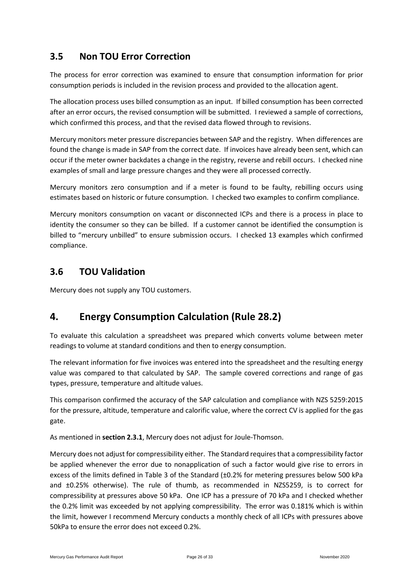### <span id="page-25-0"></span>**3.5 Non TOU Error Correction**

The process for error correction was examined to ensure that consumption information for prior consumption periods is included in the revision process and provided to the allocation agent.

The allocation process uses billed consumption as an input. If billed consumption has been corrected after an error occurs, the revised consumption will be submitted. I reviewed a sample of corrections, which confirmed this process, and that the revised data flowed through to revisions.

Mercury monitors meter pressure discrepancies between SAP and the registry. When differences are found the change is made in SAP from the correct date. If invoices have already been sent, which can occur if the meter owner backdates a change in the registry, reverse and rebill occurs. I checked nine examples of small and large pressure changes and they were all processed correctly.

Mercury monitors zero consumption and if a meter is found to be faulty, rebilling occurs using estimates based on historic or future consumption. I checked two examples to confirm compliance.

Mercury monitors consumption on vacant or disconnected ICPs and there is a process in place to identity the consumer so they can be billed. If a customer cannot be identified the consumption is billed to "mercury unbilled" to ensure submission occurs. I checked 13 examples which confirmed compliance.

#### <span id="page-25-1"></span>**3.6 TOU Validation**

Mercury does not supply any TOU customers.

### <span id="page-25-2"></span>**4. Energy Consumption Calculation (Rule 28.2)**

To evaluate this calculation a spreadsheet was prepared which converts volume between meter readings to volume at standard conditions and then to energy consumption.

The relevant information for five invoices was entered into the spreadsheet and the resulting energy value was compared to that calculated by SAP. The sample covered corrections and range of gas types, pressure, temperature and altitude values.

This comparison confirmed the accuracy of the SAP calculation and compliance with NZS 5259:2015 for the pressure, altitude, temperature and calorific value, where the correct CV is applied for the gas gate.

As mentioned in **section 2.3.1**, Mercury does not adjust for Joule-Thomson.

Mercury does not adjust for compressibility either. The Standard requires that a compressibility factor be applied whenever the error due to nonapplication of such a factor would give rise to errors in excess of the limits defined in Table 3 of the Standard (±0.2% for metering pressures below 500 kPa and ±0.25% otherwise). The rule of thumb, as recommended in NZS5259, is to correct for compressibility at pressures above 50 kPa. One ICP has a pressure of 70 kPa and I checked whether the 0.2% limit was exceeded by not applying compressibility. The error was 0.181% which is within the limit, however I recommend Mercury conducts a monthly check of all ICPs with pressures above 50kPa to ensure the error does not exceed 0.2%.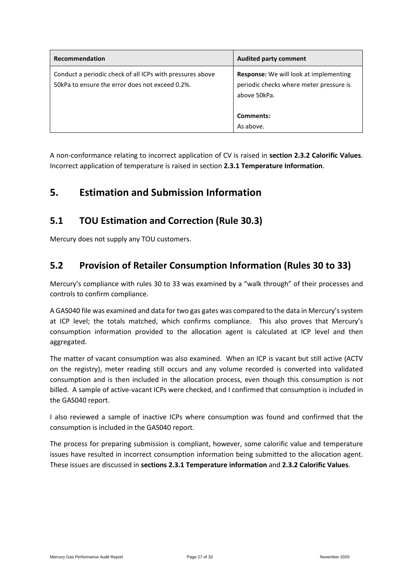| Recommendation                                                                                                | <b>Audited party comment</b>                                                                             |
|---------------------------------------------------------------------------------------------------------------|----------------------------------------------------------------------------------------------------------|
| Conduct a periodic check of all ICPs with pressures above<br>50 kPa to ensure the error does not exceed 0.2%. | <b>Response:</b> We will look at implementing<br>periodic checks where meter pressure is<br>above 50kPa. |
|                                                                                                               | Comments:                                                                                                |
|                                                                                                               | As above.                                                                                                |

A non-conformance relating to incorrect application of CV is raised in **section 2.3.2 Calorific Values**. Incorrect application of temperature is raised in section **2.3.1 Temperature Information**.

### <span id="page-26-0"></span>**5. Estimation and Submission Information**

#### <span id="page-26-1"></span>**5.1 TOU Estimation and Correction (Rule 30.3)**

Mercury does not supply any TOU customers.

#### <span id="page-26-2"></span>**5.2 Provision of Retailer Consumption Information (Rules 30 to 33)**

Mercury's compliance with rules 30 to 33 was examined by a "walk through" of their processes and controls to confirm compliance.

A GAS040 file was examined and data for two gas gates was compared to the data in Mercury's system at ICP level; the totals matched, which confirms compliance. This also proves that Mercury's consumption information provided to the allocation agent is calculated at ICP level and then aggregated.

The matter of vacant consumption was also examined. When an ICP is vacant but still active (ACTV on the registry), meter reading still occurs and any volume recorded is converted into validated consumption and is then included in the allocation process, even though this consumption is not billed. A sample of active-vacant ICPs were checked, and I confirmed that consumption is included in the GAS040 report.

I also reviewed a sample of inactive ICPs where consumption was found and confirmed that the consumption is included in the GAS040 report.

The process for preparing submission is compliant, however, some calorific value and temperature issues have resulted in incorrect consumption information being submitted to the allocation agent. These issues are discussed in **sections 2.3.1 Temperature information** and **2.3.2 Calorific Values**.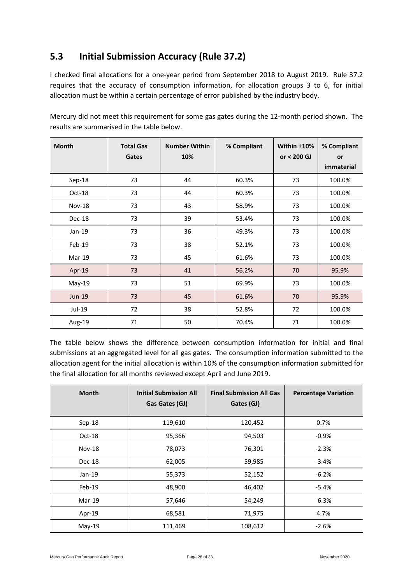### <span id="page-27-0"></span>**5.3 Initial Submission Accuracy (Rule 37.2)**

I checked final allocations for a one-year period from September 2018 to August 2019. Rule 37.2 requires that the accuracy of consumption information, for allocation groups 3 to 6, for initial allocation must be within a certain percentage of error published by the industry body.

| <b>Month</b>  | <b>Total Gas</b><br>Gates | <b>Number Within</b><br>10% | % Compliant | Within $±10\%$<br>or $< 200$ GJ | % Compliant<br><b>or</b><br>immaterial |
|---------------|---------------------------|-----------------------------|-------------|---------------------------------|----------------------------------------|
|               | 73                        | 44                          |             |                                 |                                        |
| Sep-18        |                           |                             | 60.3%       | 73                              | 100.0%                                 |
| Oct-18        | 73                        | 44                          | 60.3%       | 73                              | 100.0%                                 |
| <b>Nov-18</b> | 73                        | 43                          | 58.9%       | 73                              | 100.0%                                 |
| Dec-18        | 73                        | 39                          | 53.4%       | 73                              | 100.0%                                 |
| $Jan-19$      | 73                        | 36                          | 49.3%       | 73                              | 100.0%                                 |
| $Feb-19$      | 73                        | 38                          | 52.1%       | 73                              | 100.0%                                 |
| Mar-19        | 73                        | 45                          | 61.6%       | 73                              | 100.0%                                 |
| Apr-19        | 73                        | 41                          | 56.2%       | 70                              | 95.9%                                  |
| May-19        | 73                        | 51                          | 69.9%       | 73                              | 100.0%                                 |
| Jun-19        | 73                        | 45                          | 61.6%       | 70                              | 95.9%                                  |
| Jul-19        | 72                        | 38                          | 52.8%       | 72                              | 100.0%                                 |
| Aug-19        | 71                        | 50                          | 70.4%       | 71                              | 100.0%                                 |

Mercury did not meet this requirement for some gas gates during the 12-month period shown. The results are summarised in the table below.

The table below shows the difference between consumption information for initial and final submissions at an aggregated level for all gas gates. The consumption information submitted to the allocation agent for the initial allocation is within 10% of the consumption information submitted for the final allocation for all months reviewed except April and June 2019.

| <b>Month</b>  | <b>Initial Submission All</b><br>Gas Gates (GJ) | <b>Final Submission All Gas</b><br>Gates (GJ) | <b>Percentage Variation</b> |
|---------------|-------------------------------------------------|-----------------------------------------------|-----------------------------|
| Sep-18        | 119,610                                         | 120,452                                       | 0.7%                        |
| Oct-18        | 95,366                                          | 94,503                                        | $-0.9%$                     |
| <b>Nov-18</b> | 78,073                                          | 76,301                                        | $-2.3%$                     |
| Dec-18        | 62,005                                          | 59,985                                        | $-3.4%$                     |
| $Jan-19$      | 55,373                                          | 52,152                                        | $-6.2%$                     |
| $Feb-19$      | 48,900                                          | 46,402                                        | $-5.4%$                     |
| $Mar-19$      | 57,646                                          | 54,249                                        | $-6.3%$                     |
| Apr-19        | 68,581                                          | 71,975                                        | 4.7%                        |
| $May-19$      | 111,469                                         | 108,612                                       | $-2.6%$                     |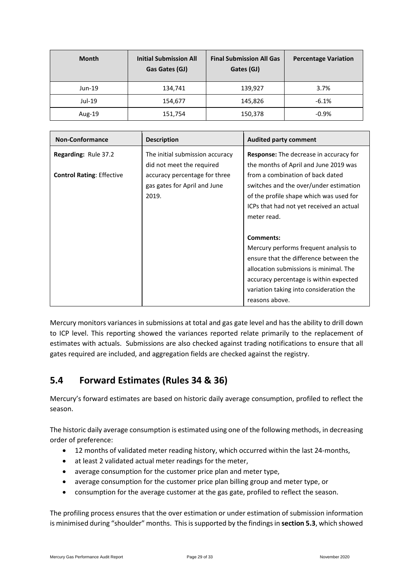| <b>Month</b> | <b>Initial Submission All</b><br>Gas Gates (GJ) | <b>Final Submission All Gas</b><br>Gates (GJ) | <b>Percentage Variation</b> |
|--------------|-------------------------------------------------|-----------------------------------------------|-----------------------------|
| Jun-19       | 134,741                                         | 139,927                                       | 3.7%                        |
| Jul-19       | 154,677                                         | 145,826                                       | $-6.1%$                     |
| Aug-19       | 151,754                                         | 150,378                                       | $-0.9%$                     |

| <b>Non-Conformance</b>           | <b>Description</b>                                                     | <b>Audited party comment</b>                                                                                                                                                                                                                  |
|----------------------------------|------------------------------------------------------------------------|-----------------------------------------------------------------------------------------------------------------------------------------------------------------------------------------------------------------------------------------------|
| <b>Regarding: Rule 37.2</b>      | The initial submission accuracy<br>did not meet the required           | <b>Response:</b> The decrease in accuracy for<br>the months of April and June 2019 was                                                                                                                                                        |
| <b>Control Rating: Effective</b> | accuracy percentage for three<br>gas gates for April and June<br>2019. | from a combination of back dated<br>switches and the over/under estimation<br>of the profile shape which was used for<br>ICPs that had not yet received an actual<br>meter read.                                                              |
|                                  |                                                                        | Comments:<br>Mercury performs frequent analysis to<br>ensure that the difference between the<br>allocation submissions is minimal. The<br>accuracy percentage is within expected<br>variation taking into consideration the<br>reasons above. |

Mercury monitors variances in submissions at total and gas gate level and has the ability to drill down to ICP level. This reporting showed the variances reported relate primarily to the replacement of estimates with actuals. Submissions are also checked against trading notifications to ensure that all gates required are included, and aggregation fields are checked against the registry.

### <span id="page-28-0"></span>**5.4 Forward Estimates (Rules 34 & 36)**

Mercury's forward estimates are based on historic daily average consumption, profiled to reflect the season.

The historic daily average consumption is estimated using one of the following methods, in decreasing order of preference:

- 12 months of validated meter reading history, which occurred within the last 24-months,
- at least 2 validated actual meter readings for the meter,
- average consumption for the customer price plan and meter type,
- average consumption for the customer price plan billing group and meter type, or
- consumption for the average customer at the gas gate, profiled to reflect the season.

The profiling process ensures that the over estimation or under estimation of submission information is minimised during "shoulder" months. This is supported by the findings in **section 5.3**, which showed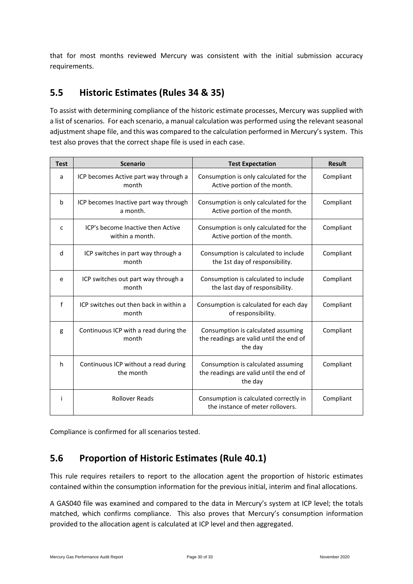that for most months reviewed Mercury was consistent with the initial submission accuracy requirements.

#### <span id="page-29-0"></span>**5.5 Historic Estimates (Rules 34 & 35)**

To assist with determining compliance of the historic estimate processes, Mercury was supplied with a list of scenarios. For each scenario, a manual calculation was performed using the relevant seasonal adjustment shape file, and this was compared to the calculation performed in Mercury's system. This test also proves that the correct shape file is used in each case.

| <b>Test</b>  | <b>Scenario</b>                                      | <b>Test Expectation</b>                                                                  | <b>Result</b> |
|--------------|------------------------------------------------------|------------------------------------------------------------------------------------------|---------------|
| a            | ICP becomes Active part way through a<br>month       | Consumption is only calculated for the<br>Active portion of the month.                   | Compliant     |
| b            | ICP becomes Inactive part way through<br>a month.    | Consumption is only calculated for the<br>Active portion of the month.                   | Compliant     |
| C            | ICP's become Inactive then Active<br>within a month. | Consumption is only calculated for the<br>Active portion of the month.                   | Compliant     |
| d            | ICP switches in part way through a<br>month          | Consumption is calculated to include<br>the 1st day of responsibility.                   | Compliant     |
| e            | ICP switches out part way through a<br>month         | Consumption is calculated to include<br>the last day of responsibility.                  | Compliant     |
| $\mathsf{f}$ | ICP switches out then back in within a<br>month      | Consumption is calculated for each day<br>of responsibility.                             | Compliant     |
| g            | Continuous ICP with a read during the<br>month       | Consumption is calculated assuming<br>the readings are valid until the end of<br>the day | Compliant     |
| h            | Continuous ICP without a read during<br>the month    | Consumption is calculated assuming<br>the readings are valid until the end of<br>the day | Compliant     |
| Ť            | <b>Rollover Reads</b>                                | Consumption is calculated correctly in<br>the instance of meter rollovers.               | Compliant     |

<span id="page-29-1"></span>Compliance is confirmed for all scenarios tested.

### **5.6 Proportion of Historic Estimates (Rule 40.1)**

This rule requires retailers to report to the allocation agent the proportion of historic estimates contained within the consumption information for the previous initial, interim and final allocations.

A GAS040 file was examined and compared to the data in Mercury's system at ICP level; the totals matched, which confirms compliance. This also proves that Mercury's consumption information provided to the allocation agent is calculated at ICP level and then aggregated.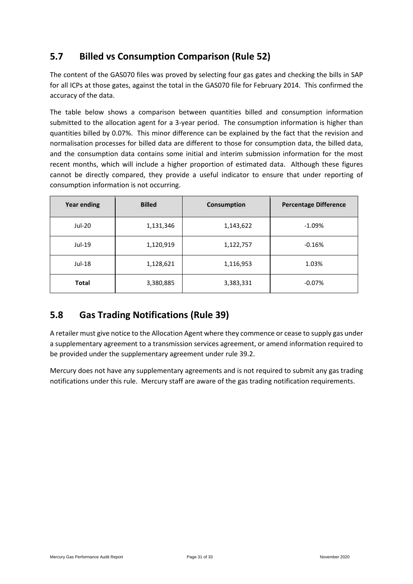### <span id="page-30-0"></span>**5.7 Billed vs Consumption Comparison (Rule 52)**

The content of the GAS070 files was proved by selecting four gas gates and checking the bills in SAP for all ICPs at those gates, against the total in the GAS070 file for February 2014. This confirmed the accuracy of the data.

The table below shows a comparison between quantities billed and consumption information submitted to the allocation agent for a 3-year period. The consumption information is higher than quantities billed by 0.07%. This minor difference can be explained by the fact that the revision and normalisation processes for billed data are different to those for consumption data, the billed data, and the consumption data contains some initial and interim submission information for the most recent months, which will include a higher proportion of estimated data. Although these figures cannot be directly compared, they provide a useful indicator to ensure that under reporting of consumption information is not occurring.

| <b>Year ending</b> | <b>Billed</b> | Consumption | <b>Percentage Difference</b> |
|--------------------|---------------|-------------|------------------------------|
| Jul-20             | 1,131,346     | 1,143,622   | $-1.09%$                     |
| Jul-19             | 1,120,919     | 1,122,757   | $-0.16%$                     |
| Jul-18             | 1,128,621     | 1,116,953   | 1.03%                        |
| <b>Total</b>       | 3,380,885     | 3,383,331   | $-0.07%$                     |

### <span id="page-30-1"></span>**5.8 Gas Trading Notifications (Rule 39)**

A retailer must give notice to the Allocation Agent where they commence or cease to supply gas under a supplementary agreement to a transmission services agreement, or amend information required to be provided under the supplementary agreement under rule 39.2.

Mercury does not have any supplementary agreements and is not required to submit any gas trading notifications under this rule. Mercury staff are aware of the gas trading notification requirements.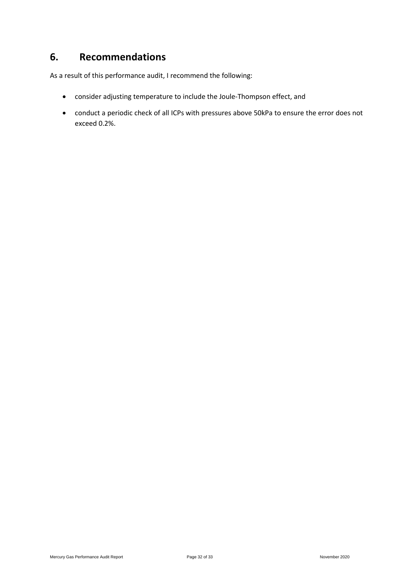### <span id="page-31-0"></span>**6. Recommendations**

As a result of this performance audit, I recommend the following:

- consider adjusting temperature to include the Joule-Thompson effect, and
- conduct a periodic check of all ICPs with pressures above 50kPa to ensure the error does not exceed 0.2%.